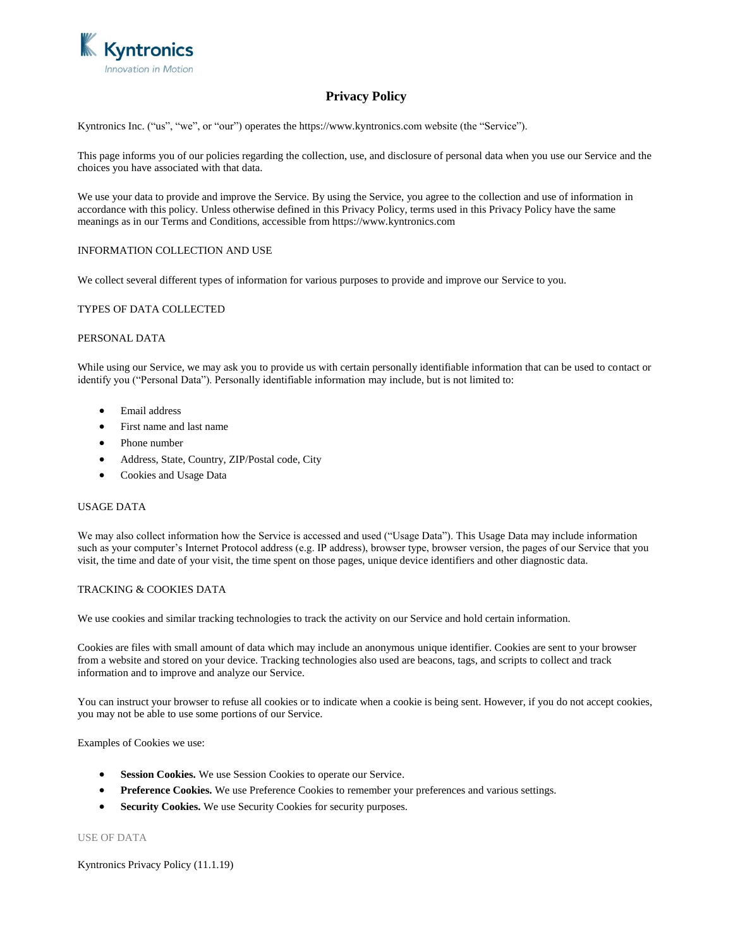

# **Privacy Policy**

Kyntronics Inc. ("us", "we", or "our") operates the https://www.kyntronics.com website (the "Service").

This page informs you of our policies regarding the collection, use, and disclosure of personal data when you use our Service and the choices you have associated with that data.

We use your data to provide and improve the Service. By using the Service, you agree to the collection and use of information in accordance with this policy. Unless otherwise defined in this Privacy Policy, terms used in this Privacy Policy have the same meanings as in our Terms and Conditions, accessible from https://www.kyntronics.com

## INFORMATION COLLECTION AND USE

We collect several different types of information for various purposes to provide and improve our Service to you.

## TYPES OF DATA COLLECTED

#### PERSONAL DATA

While using our Service, we may ask you to provide us with certain personally identifiable information that can be used to contact or identify you ("Personal Data"). Personally identifiable information may include, but is not limited to:

- Email address
- First name and last name
- Phone number
- Address, State, Country, ZIP/Postal code, City
- Cookies and Usage Data

#### USAGE DATA

We may also collect information how the Service is accessed and used ("Usage Data"). This Usage Data may include information such as your computer's Internet Protocol address (e.g. IP address), browser type, browser version, the pages of our Service that you visit, the time and date of your visit, the time spent on those pages, unique device identifiers and other diagnostic data.

#### TRACKING & COOKIES DATA

We use cookies and similar tracking technologies to track the activity on our Service and hold certain information.

Cookies are files with small amount of data which may include an anonymous unique identifier. Cookies are sent to your browser from a website and stored on your device. Tracking technologies also used are beacons, tags, and scripts to collect and track information and to improve and analyze our Service.

You can instruct your browser to refuse all cookies or to indicate when a cookie is being sent. However, if you do not accept cookies, you may not be able to use some portions of our Service.

Examples of Cookies we use:

- **Session Cookies.** We use Session Cookies to operate our Service.
- **Preference Cookies.** We use Preference Cookies to remember your preferences and various settings.
- **Security Cookies.** We use Security Cookies for security purposes.

## USE OF DATA

Kyntronics Privacy Policy (11.1.19)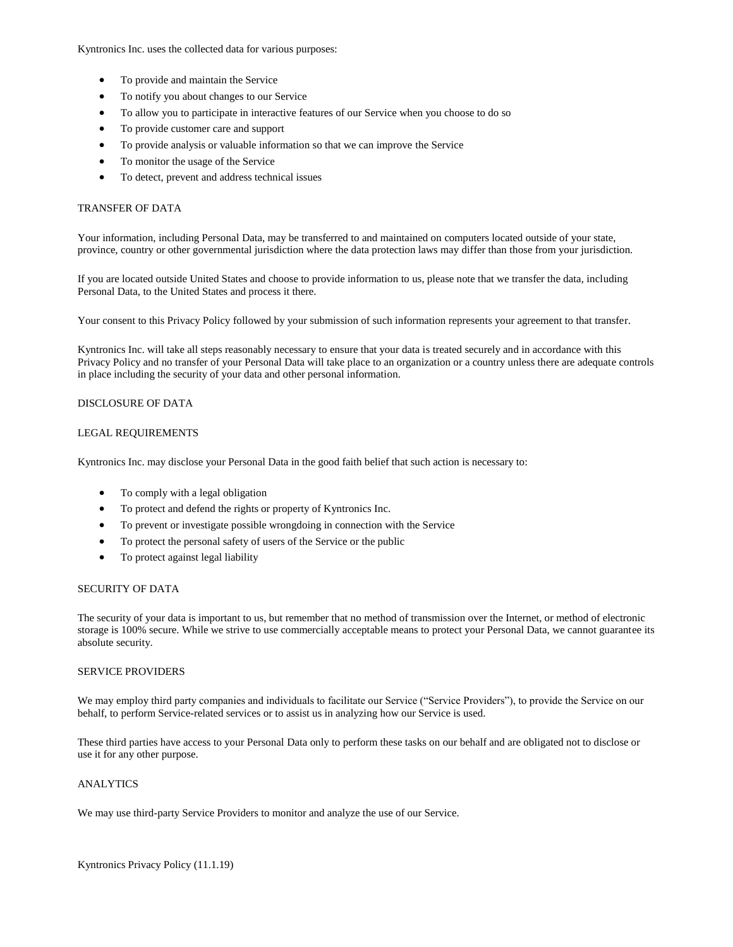Kyntronics Inc. uses the collected data for various purposes:

- To provide and maintain the Service
- To notify you about changes to our Service
- To allow you to participate in interactive features of our Service when you choose to do so
- To provide customer care and support
- To provide analysis or valuable information so that we can improve the Service
- To monitor the usage of the Service
- To detect, prevent and address technical issues

## TRANSFER OF DATA

Your information, including Personal Data, may be transferred to and maintained on computers located outside of your state, province, country or other governmental jurisdiction where the data protection laws may differ than those from your jurisdiction.

If you are located outside United States and choose to provide information to us, please note that we transfer the data, including Personal Data, to the United States and process it there.

Your consent to this Privacy Policy followed by your submission of such information represents your agreement to that transfer.

Kyntronics Inc. will take all steps reasonably necessary to ensure that your data is treated securely and in accordance with this Privacy Policy and no transfer of your Personal Data will take place to an organization or a country unless there are adequate controls in place including the security of your data and other personal information.

## DISCLOSURE OF DATA

## LEGAL REQUIREMENTS

Kyntronics Inc. may disclose your Personal Data in the good faith belief that such action is necessary to:

- To comply with a legal obligation
- To protect and defend the rights or property of Kyntronics Inc.
- To prevent or investigate possible wrongdoing in connection with the Service
- To protect the personal safety of users of the Service or the public
- To protect against legal liability

#### SECURITY OF DATA

The security of your data is important to us, but remember that no method of transmission over the Internet, or method of electronic storage is 100% secure. While we strive to use commercially acceptable means to protect your Personal Data, we cannot guarantee its absolute security.

#### SERVICE PROVIDERS

We may employ third party companies and individuals to facilitate our Service ("Service Providers"), to provide the Service on our behalf, to perform Service-related services or to assist us in analyzing how our Service is used.

These third parties have access to your Personal Data only to perform these tasks on our behalf and are obligated not to disclose or use it for any other purpose.

# **ANALYTICS**

We may use third-party Service Providers to monitor and analyze the use of our Service.